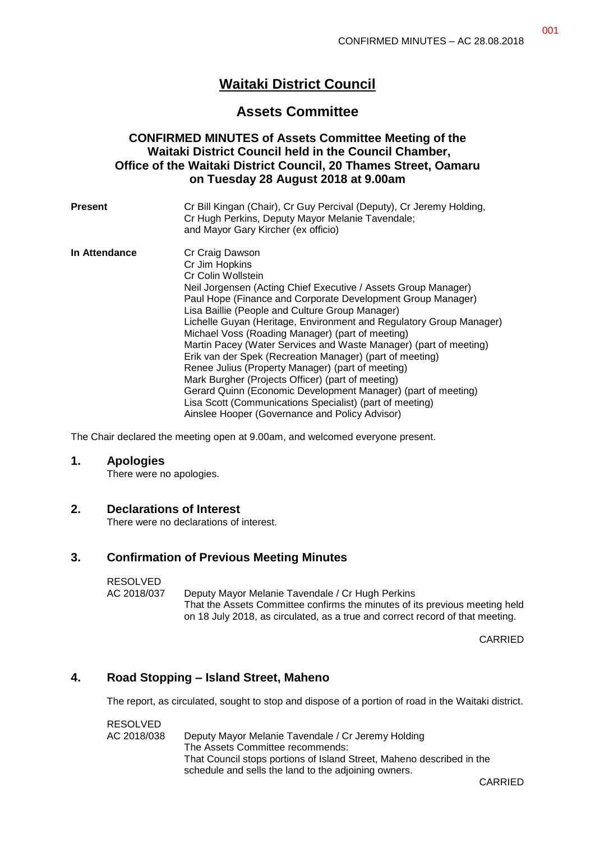# **Waitaki District Council**

# **Assets Committee**

## **CONFIRMED MINUTES of Assets Committee Meeting of the Waitaki District Council held in the Council Chamber, Office of the Waitaki District Council, 20 Thames Street, Oamaru on Tuesday 28 August 2018 at 9.00am**

| Present       | Cr Bill Kingan (Chair), Cr Guy Percival (Deputy), Cr Jeremy Holding,<br>Cr Hugh Perkins, Deputy Mayor Melanie Tavendale;<br>and Mayor Gary Kircher (ex officio)                                                                                                                                                                                                                                                                                                                                                                                                                                                                                                                                                                                |
|---------------|------------------------------------------------------------------------------------------------------------------------------------------------------------------------------------------------------------------------------------------------------------------------------------------------------------------------------------------------------------------------------------------------------------------------------------------------------------------------------------------------------------------------------------------------------------------------------------------------------------------------------------------------------------------------------------------------------------------------------------------------|
| In Attendance | Cr Craig Dawson<br>Cr Jim Hopkins<br>Cr Colin Wollstein<br>Neil Jorgensen (Acting Chief Executive / Assets Group Manager)<br>Paul Hope (Finance and Corporate Development Group Manager)<br>Lisa Baillie (People and Culture Group Manager)<br>Lichelle Guyan (Heritage, Environment and Regulatory Group Manager)<br>Michael Voss (Roading Manager) (part of meeting)<br>Martin Pacey (Water Services and Waste Manager) (part of meeting)<br>Erik van der Spek (Recreation Manager) (part of meeting)<br>Renee Julius (Property Manager) (part of meeting)<br>Mark Burgher (Projects Officer) (part of meeting)<br>Gerard Quinn (Economic Development Manager) (part of meeting)<br>Lisa Scott (Communications Specialist) (part of meeting) |
|               | Ainslee Hooper (Governance and Policy Advisor)                                                                                                                                                                                                                                                                                                                                                                                                                                                                                                                                                                                                                                                                                                 |

The Chair declared the meeting open at 9.00am, and welcomed everyone present.

#### **1. Apologies**

There were no apologies.

## **2. Declarations of Interest**

There were no declarations of interest.

## **3. Confirmation of Previous Meeting Minutes**

## RESOLVED

AC 2018/037 Deputy Mayor Melanie Tavendale / Cr Hugh Perkins That the Assets Committee confirms the minutes of its previous meeting held on 18 July 2018, as circulated, as a true and correct record of that meeting.

CARRIED

## **4. Road Stopping – Island Street, Maheno**

The report, as circulated, sought to stop and dispose of a portion of road in the Waitaki district.

RESOLVED AC 2018/038 Deputy Mayor Melanie Tavendale / Cr Jeremy Holding The Assets Committee recommends: That Council stops portions of Island Street, Maheno described in the schedule and sells the land to the adjoining owners.

CARRIED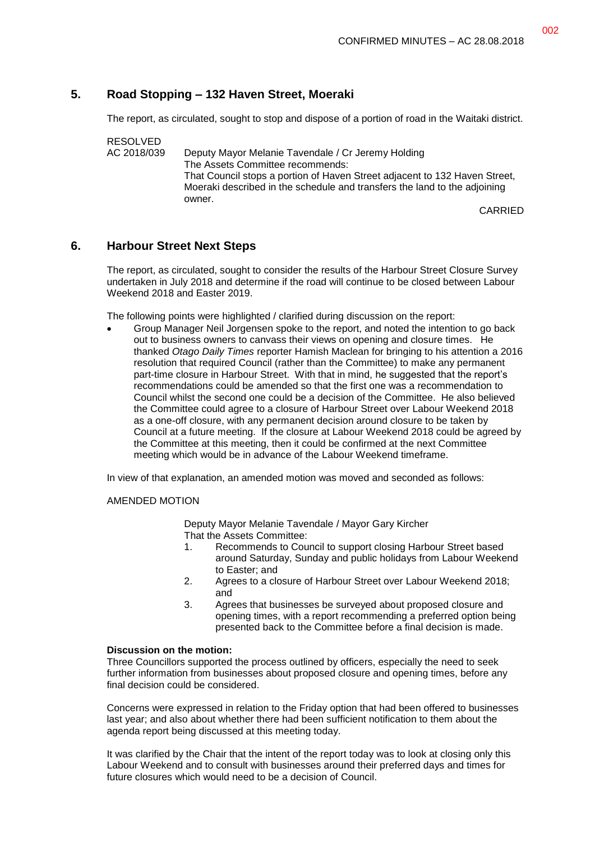# **5. Road Stopping – 132 Haven Street, Moeraki**

The report, as circulated, sought to stop and dispose of a portion of road in the Waitaki district.

RESOLVED AC 2018/039 Deputy Mayor Melanie Tavendale / Cr Jeremy Holding The Assets Committee recommends: That Council stops a portion of Haven Street adjacent to 132 Haven Street, Moeraki described in the schedule and transfers the land to the adjoining owner.

CARRIED

## **6. Harbour Street Next Steps**

The report, as circulated, sought to consider the results of the Harbour Street Closure Survey undertaken in July 2018 and determine if the road will continue to be closed between Labour Weekend 2018 and Easter 2019.

The following points were highlighted / clarified during discussion on the report:

 Group Manager Neil Jorgensen spoke to the report, and noted the intention to go back out to business owners to canvass their views on opening and closure times. He thanked *Otago Daily Times* reporter Hamish Maclean for bringing to his attention a 2016 resolution that required Council (rather than the Committee) to make any permanent part-time closure in Harbour Street. With that in mind, he suggested that the report's recommendations could be amended so that the first one was a recommendation to Council whilst the second one could be a decision of the Committee. He also believed the Committee could agree to a closure of Harbour Street over Labour Weekend 2018 as a one-off closure, with any permanent decision around closure to be taken by Council at a future meeting. If the closure at Labour Weekend 2018 could be agreed by the Committee at this meeting, then it could be confirmed at the next Committee meeting which would be in advance of the Labour Weekend timeframe.

In view of that explanation, an amended motion was moved and seconded as follows:

#### AMENDED MOTION

Deputy Mayor Melanie Tavendale / Mayor Gary Kircher That the Assets Committee:

- 1. Recommends to Council to support closing Harbour Street based around Saturday, Sunday and public holidays from Labour Weekend to Easter; and
- 2. Agrees to a closure of Harbour Street over Labour Weekend 2018; and
- 3. Agrees that businesses be surveyed about proposed closure and opening times, with a report recommending a preferred option being presented back to the Committee before a final decision is made.

## **Discussion on the motion:**

Three Councillors supported the process outlined by officers, especially the need to seek further information from businesses about proposed closure and opening times, before any final decision could be considered.

Concerns were expressed in relation to the Friday option that had been offered to businesses last year; and also about whether there had been sufficient notification to them about the agenda report being discussed at this meeting today.

It was clarified by the Chair that the intent of the report today was to look at closing only this Labour Weekend and to consult with businesses around their preferred days and times for future closures which would need to be a decision of Council.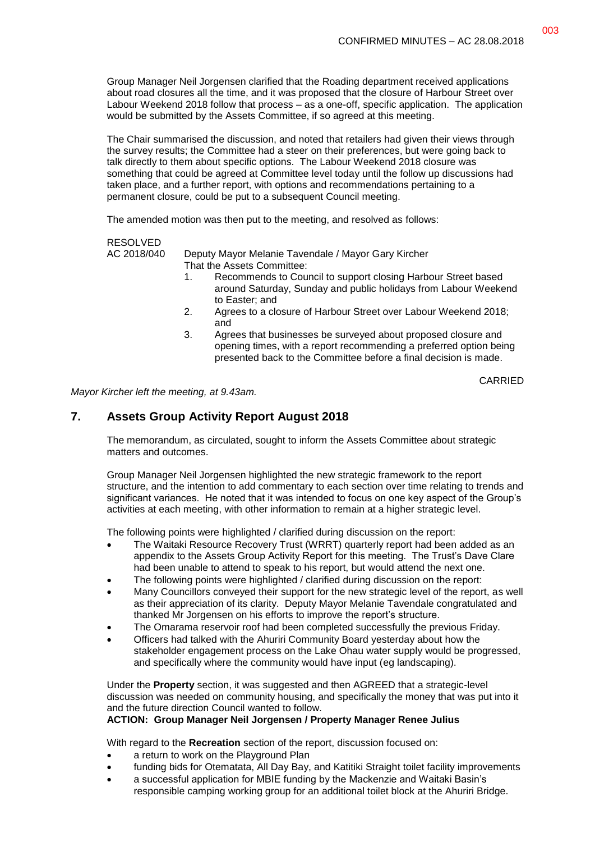Group Manager Neil Jorgensen clarified that the Roading department received applications about road closures all the time, and it was proposed that the closure of Harbour Street over Labour Weekend 2018 follow that process – as a one-off, specific application. The application would be submitted by the Assets Committee, if so agreed at this meeting.

The Chair summarised the discussion, and noted that retailers had given their views through the survey results; the Committee had a steer on their preferences, but were going back to talk directly to them about specific options. The Labour Weekend 2018 closure was something that could be agreed at Committee level today until the follow up discussions had taken place, and a further report, with options and recommendations pertaining to a permanent closure, could be put to a subsequent Council meeting.

The amended motion was then put to the meeting, and resolved as follows:

#### RESOLVED

AC 2018/040 Deputy Mayor Melanie Tavendale / Mayor Gary Kircher That the Assets Committee:

- 1. Recommends to Council to support closing Harbour Street based around Saturday, Sunday and public holidays from Labour Weekend to Easter; and
- 2. Agrees to a closure of Harbour Street over Labour Weekend 2018; and
- 3. Agrees that businesses be surveyed about proposed closure and opening times, with a report recommending a preferred option being presented back to the Committee before a final decision is made.

CARRIED

*Mayor Kircher left the meeting, at 9.43am.*

## **7. Assets Group Activity Report August 2018**

The memorandum, as circulated, sought to inform the Assets Committee about strategic matters and outcomes.

Group Manager Neil Jorgensen highlighted the new strategic framework to the report structure, and the intention to add commentary to each section over time relating to trends and significant variances. He noted that it was intended to focus on one key aspect of the Group's activities at each meeting, with other information to remain at a higher strategic level.

The following points were highlighted / clarified during discussion on the report:

- The Waitaki Resource Recovery Trust (WRRT) quarterly report had been added as an appendix to the Assets Group Activity Report for this meeting. The Trust's Dave Clare had been unable to attend to speak to his report, but would attend the next one.
- The following points were highlighted / clarified during discussion on the report:
- Many Councillors conveyed their support for the new strategic level of the report, as well as their appreciation of its clarity. Deputy Mayor Melanie Tavendale congratulated and thanked Mr Jorgensen on his efforts to improve the report's structure.
- The Omarama reservoir roof had been completed successfully the previous Friday.
- Officers had talked with the Ahuriri Community Board yesterday about how the stakeholder engagement process on the Lake Ohau water supply would be progressed, and specifically where the community would have input (eg landscaping).

Under the **Property** section, it was suggested and then AGREED that a strategic-level discussion was needed on community housing, and specifically the money that was put into it and the future direction Council wanted to follow.

## **ACTION: Group Manager Neil Jorgensen / Property Manager Renee Julius**

With regard to the **Recreation** section of the report, discussion focused on:

- a return to work on the Playground Plan
- funding bids for Otematata, All Day Bay, and Katitiki Straight toilet facility improvements
- a successful application for MBIE funding by the Mackenzie and Waitaki Basin's responsible camping working group for an additional toilet block at the Ahuriri Bridge.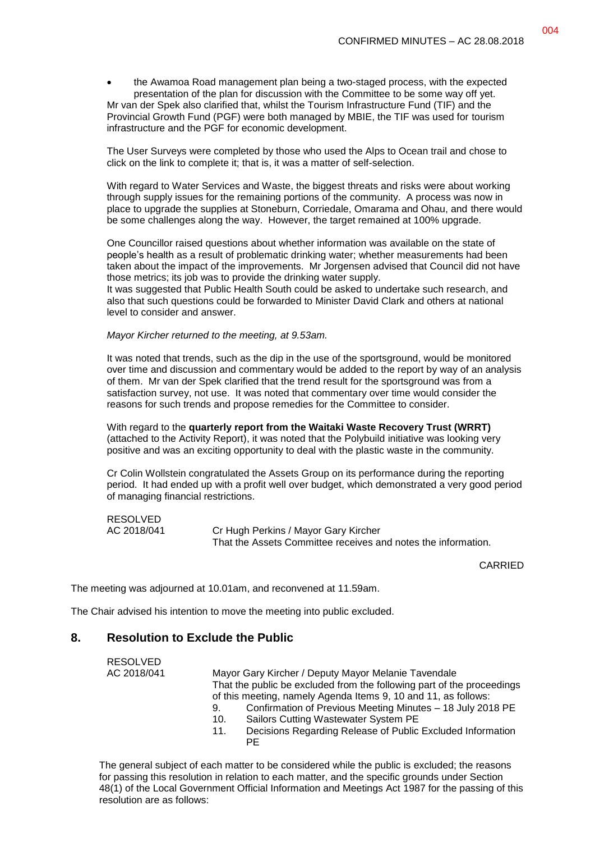the Awamoa Road management plan being a two-staged process, with the expected presentation of the plan for discussion with the Committee to be some way off yet. Mr van der Spek also clarified that, whilst the Tourism Infrastructure Fund (TIF) and the Provincial Growth Fund (PGF) were both managed by MBIE, the TIF was used for tourism infrastructure and the PGF for economic development.

The User Surveys were completed by those who used the Alps to Ocean trail and chose to click on the link to complete it; that is, it was a matter of self-selection.

With regard to Water Services and Waste, the biggest threats and risks were about working through supply issues for the remaining portions of the community. A process was now in place to upgrade the supplies at Stoneburn, Corriedale, Omarama and Ohau, and there would be some challenges along the way. However, the target remained at 100% upgrade.

One Councillor raised questions about whether information was available on the state of people's health as a result of problematic drinking water; whether measurements had been taken about the impact of the improvements. Mr Jorgensen advised that Council did not have those metrics; its job was to provide the drinking water supply.

It was suggested that Public Health South could be asked to undertake such research, and also that such questions could be forwarded to Minister David Clark and others at national level to consider and answer.

#### *Mayor Kircher returned to the meeting, at 9.53am.*

It was noted that trends, such as the dip in the use of the sportsground, would be monitored over time and discussion and commentary would be added to the report by way of an analysis of them. Mr van der Spek clarified that the trend result for the sportsground was from a satisfaction survey, not use. It was noted that commentary over time would consider the reasons for such trends and propose remedies for the Committee to consider.

With regard to the **quarterly report from the Waitaki Waste Recovery Trust (WRRT)** (attached to the Activity Report), it was noted that the Polybuild initiative was looking very positive and was an exciting opportunity to deal with the plastic waste in the community.

Cr Colin Wollstein congratulated the Assets Group on its performance during the reporting period. It had ended up with a profit well over budget, which demonstrated a very good period of managing financial restrictions.

RESOLVED

RESOLVED

AC 2018/041 Cr Hugh Perkins / Mayor Gary Kircher That the Assets Committee receives and notes the information.

CARRIED

The meeting was adjourned at 10.01am, and reconvened at 11.59am.

The Chair advised his intention to move the meeting into public excluded.

#### **8. Resolution to Exclude the Public**

| 11 LUUL V L L |                                                                          |  |  |
|---------------|--------------------------------------------------------------------------|--|--|
| AC 2018/041   | Mayor Gary Kircher / Deputy Mayor Melanie Tavendale                      |  |  |
|               | That the public be excluded from the following part of the proceedings   |  |  |
|               | of this meeting, namely Agenda Items 9, 10 and 11, as follows:           |  |  |
|               | Confirmation of Previous Meeting Minutes - 18 July 2018 PE<br>9.         |  |  |
|               | Sailors Cutting Wastewater System PE<br>10.                              |  |  |
|               | Decisions Regarding Release of Public Excluded Information<br>11.<br>PE. |  |  |
|               |                                                                          |  |  |

The general subject of each matter to be considered while the public is excluded; the reasons for passing this resolution in relation to each matter, and the specific grounds under Section 48(1) of the Local Government Official Information and Meetings Act 1987 for the passing of this resolution are as follows: